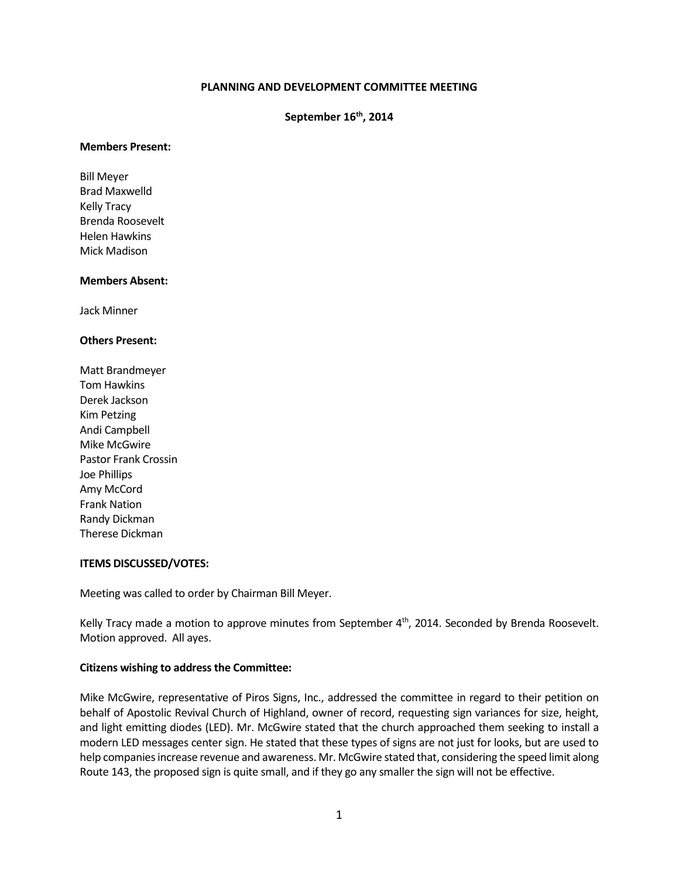## **PLANNING AND DEVELOPMENT COMMITTEE MEETING**

# **September 16th, 2014**

#### **Members Present:**

Bill Meyer Brad Maxwelld Kelly Tracy Brenda Roosevelt Helen Hawkins Mick Madison

### **Members Absent:**

Jack Minner

#### **Others Present:**

Matt Brandmeyer Tom Hawkins Derek Jackson Kim Petzing Andi Campbell Mike McGwire Pastor Frank Crossin Joe Phillips Amy McCord Frank Nation Randy Dickman Therese Dickman

### **ITEMS DISCUSSED/VOTES:**

Meeting was called to order by Chairman Bill Meyer.

Kelly Tracy made a motion to approve minutes from September 4th, 2014. Seconded by Brenda Roosevelt. Motion approved. All ayes.

### **Citizens wishing to address the Committee:**

Mike McGwire, representative of Piros Signs, Inc., addressed the committee in regard to their petition on behalf of Apostolic Revival Church of Highland, owner of record, requesting sign variances for size, height, and light emitting diodes (LED). Mr. McGwire stated that the church approached them seeking to install a modern LED messages center sign. He stated that these types of signs are not just for looks, but are used to help companies increase revenue and awareness. Mr. McGwire stated that, considering the speed limit along Route 143, the proposed sign is quite small, and if they go any smaller the sign will not be effective.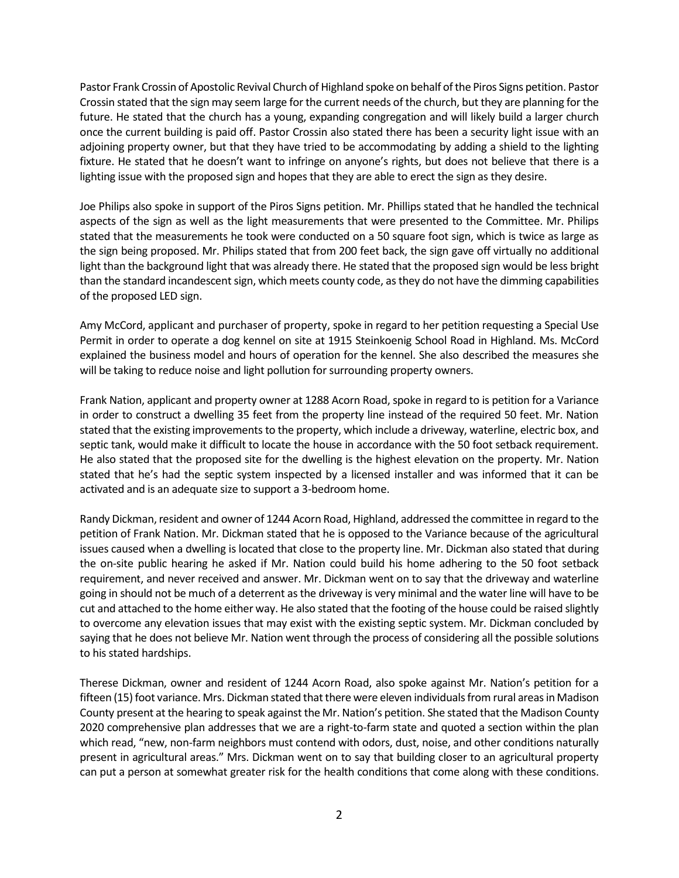Pastor Frank Crossin of Apostolic Revival Church of Highland spoke on behalf of the Piros Signs petition. Pastor Crossin stated that the sign may seem large for the current needs of the church, but they are planning for the future. He stated that the church has a young, expanding congregation and will likely build a larger church once the current building is paid off. Pastor Crossin also stated there has been a security light issue with an adjoining property owner, but that they have tried to be accommodating by adding a shield to the lighting fixture. He stated that he doesn't want to infringe on anyone's rights, but does not believe that there is a lighting issue with the proposed sign and hopes that they are able to erect the sign as they desire.

Joe Philips also spoke in support of the Piros Signs petition. Mr. Phillips stated that he handled the technical aspects of the sign as well as the light measurements that were presented to the Committee. Mr. Philips stated that the measurements he took were conducted on a 50 square foot sign, which is twice as large as the sign being proposed. Mr. Philips stated that from 200 feet back, the sign gave off virtually no additional light than the background light that was already there. He stated that the proposed sign would be less bright than the standard incandescent sign, which meets county code, as they do not have the dimming capabilities of the proposed LED sign.

Amy McCord, applicant and purchaser of property, spoke in regard to her petition requesting a Special Use Permit in order to operate a dog kennel on site at 1915 Steinkoenig School Road in Highland. Ms. McCord explained the business model and hours of operation for the kennel. She also described the measures she will be taking to reduce noise and light pollution for surrounding property owners.

Frank Nation, applicant and property owner at 1288 Acorn Road, spoke in regard to is petition for a Variance in order to construct a dwelling 35 feet from the property line instead of the required 50 feet. Mr. Nation stated that the existing improvements to the property, which include a driveway, waterline, electric box, and septic tank, would make it difficult to locate the house in accordance with the 50 foot setback requirement. He also stated that the proposed site for the dwelling is the highest elevation on the property. Mr. Nation stated that he's had the septic system inspected by a licensed installer and was informed that it can be activated and is an adequate size to support a 3-bedroom home.

Randy Dickman, resident and owner of 1244 Acorn Road, Highland, addressed the committee in regard to the petition of Frank Nation. Mr. Dickman stated that he is opposed to the Variance because of the agricultural issues caused when a dwelling is located that close to the property line. Mr. Dickman also stated that during the on-site public hearing he asked if Mr. Nation could build his home adhering to the 50 foot setback requirement, and never received and answer. Mr. Dickman went on to say that the driveway and waterline going in should not be much of a deterrent as the driveway is very minimal and the water line will have to be cut and attached to the home either way. He also stated that the footing of the house could be raised slightly to overcome any elevation issues that may exist with the existing septic system. Mr. Dickman concluded by saying that he does not believe Mr. Nation went through the process of considering all the possible solutions to his stated hardships.

Therese Dickman, owner and resident of 1244 Acorn Road, also spoke against Mr. Nation's petition for a fifteen (15) foot variance. Mrs. Dickman stated that there were eleven individuals from rural areas in Madison County present at the hearing to speak against the Mr. Nation's petition. She stated that the Madison County 2020 comprehensive plan addresses that we are a right-to-farm state and quoted a section within the plan which read, "new, non-farm neighbors must contend with odors, dust, noise, and other conditions naturally present in agricultural areas." Mrs. Dickman went on to say that building closer to an agricultural property can put a person at somewhat greater risk for the health conditions that come along with these conditions.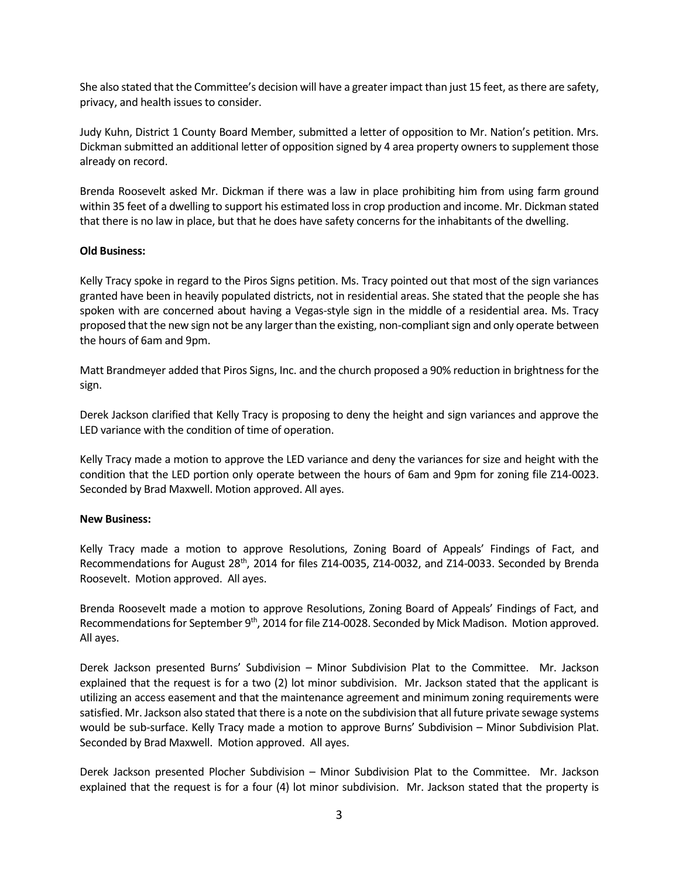She also stated that the Committee's decision will have a greater impact than just 15 feet, asthere are safety, privacy, and health issues to consider.

Judy Kuhn, District 1 County Board Member, submitted a letter of opposition to Mr. Nation's petition. Mrs. Dickman submitted an additional letter of opposition signed by 4 area property owners to supplement those already on record.

Brenda Roosevelt asked Mr. Dickman if there was a law in place prohibiting him from using farm ground within 35 feet of a dwelling to support his estimated loss in crop production and income. Mr. Dickman stated that there is no law in place, but that he does have safety concerns for the inhabitants of the dwelling.

## **Old Business:**

Kelly Tracy spoke in regard to the Piros Signs petition. Ms. Tracy pointed out that most of the sign variances granted have been in heavily populated districts, not in residential areas. She stated that the people she has spoken with are concerned about having a Vegas-style sign in the middle of a residential area. Ms. Tracy proposed that the new sign not be any larger than the existing, non-compliant sign and only operate between the hours of 6am and 9pm.

Matt Brandmeyer added that Piros Signs, Inc. and the church proposed a 90% reduction in brightness for the sign.

Derek Jackson clarified that Kelly Tracy is proposing to deny the height and sign variances and approve the LED variance with the condition of time of operation.

Kelly Tracy made a motion to approve the LED variance and deny the variances for size and height with the condition that the LED portion only operate between the hours of 6am and 9pm for zoning file Z14-0023. Seconded by Brad Maxwell. Motion approved. All ayes.

### **New Business:**

Kelly Tracy made a motion to approve Resolutions, Zoning Board of Appeals' Findings of Fact, and Recommendations for August 28<sup>th</sup>, 2014 for files Z14-0035, Z14-0032, and Z14-0033. Seconded by Brenda Roosevelt. Motion approved. All ayes.

Brenda Roosevelt made a motion to approve Resolutions, Zoning Board of Appeals' Findings of Fact, and Recommendations for September 9th, 2014 for file Z14-0028. Seconded by Mick Madison. Motion approved. All ayes.

Derek Jackson presented Burns' Subdivision – Minor Subdivision Plat to the Committee. Mr. Jackson explained that the request is for a two (2) lot minor subdivision. Mr. Jackson stated that the applicant is utilizing an access easement and that the maintenance agreement and minimum zoning requirements were satisfied. Mr. Jackson also stated that there is a note on the subdivision that all future private sewage systems would be sub-surface. Kelly Tracy made a motion to approve Burns' Subdivision – Minor Subdivision Plat. Seconded by Brad Maxwell. Motion approved. All ayes.

Derek Jackson presented Plocher Subdivision – Minor Subdivision Plat to the Committee. Mr. Jackson explained that the request is for a four (4) lot minor subdivision. Mr. Jackson stated that the property is